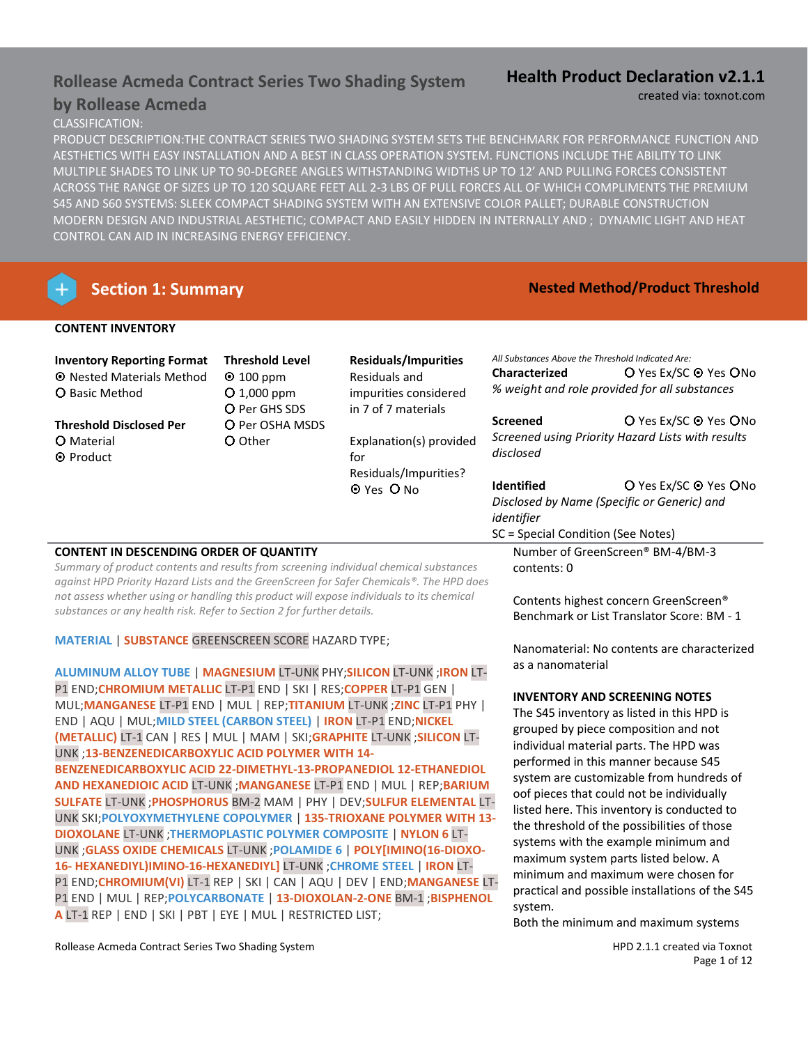## **Rollease Acmeda Contract Series Two Shading System**

## **by Rollease Acmeda**

## CLASSIFICATION:

PRODUCT DESCRIPTION:THE CONTRACT SERIES TWO SHADING SYSTEM SETS THE BENCHMARK FOR PERFORMANCE FUNCTION AND AESTHETICS WITH EASY INSTALLATION AND A BEST IN CLASS OPERATION SYSTEM. FUNCTIONS INCLUDE THE ABILITY TO LINK MULTIPLE SHADES TO LINK UP TO 90-DEGREE ANGLES WITHSTANDING WIDTHS UP TO 12' AND PULLING FORCES CONSISTENT ACROSS THE RANGE OF SIZES UP TO 120 SQUARE FEET ALL 2-3 LBS OF PULL FORCES ALL OF WHICH COMPLIMENTS THE PREMIUM S45 AND S60 SYSTEMS: SLEEK COMPACT SHADING SYSTEM WITH AN EXTENSIVE COLOR PALLET; DURABLE CONSTRUCTION MODERN DESIGN AND INDUSTRIAL AESTHETIC; COMPACT AND EASILY HIDDEN IN INTERNALLY AND ; DYNAMIC LIGHT AND HEAT CONTROL CAN AID IN INCREASING ENERGY EFFICIENCY.

## **Section 1: Summary** *Nested Method/Product Threshold*

## **CONTENT INVENTORY**

| <b>Inventory Reporting Format</b><br><b>O</b> Nested Materials Method<br><b>O</b> Basic Method | <b>Residuals/Impurities</b><br><b>Threshold Level</b><br>Residuals and<br>$\odot$ 100 ppm<br>$O$ 1,000 ppm<br>impurities considered | All Substances Above the Threshold Indicated Are:<br><b>Characterized</b> | O Yes Ex/SC <sup>⊙</sup> Yes OI<br>% weight and role provided for all substances |                                                                                      |
|------------------------------------------------------------------------------------------------|-------------------------------------------------------------------------------------------------------------------------------------|---------------------------------------------------------------------------|----------------------------------------------------------------------------------|--------------------------------------------------------------------------------------|
| <b>Threshold Disclosed Per</b><br><b>O</b> Material<br>O Other<br><b>O</b> Product             | O Per GHS SDS<br>O Per OSHA MSDS                                                                                                    | in 7 of 7 materials<br>Explanation(s) provided<br>for                     | <b>Screened</b><br>disclosed                                                     | O Yes Ex/SC <sup>⊙</sup> Yes OI<br>Screened using Priority Hazard Lists with results |
|                                                                                                |                                                                                                                                     | Residuals/Impurities?<br>O Yes O No                                       | <b>Identified</b><br>identifier<br>SC = Special Condition (See Notes)            | O Yes Ex/SC O Yes OI<br>Disclosed by Name (Specific or Generic) and                  |

## **CONTENT IN DESCENDING ORDER OF QUANTITY**

*Summary of product contents and results from screening individual chemical substances against HPD Priority Hazard Lists and the GreenScreen for Safer Chemicals®. The HPD does not assess whether using or handling this product will expose individuals to its chemical substances or any health risk. Refer to Section 2 for further details.*

### **MATERIAL** | **SUBSTANCE** GREENSCREEN SCORE HAZARD TYPE;

**ALUMINUM ALLOY TUBE** | **MAGNESIUM** LT-UNK PHY;**SILICON** LT-UNK ;**IRON** LT-P1 END;**CHROMIUM METALLIC** LT-P1 END | SKI | RES;**COPPER** LT-P1 GEN | MUL;**MANGANESE** LT-P1 END | MUL | REP;**TITANIUM** LT-UNK ;**ZINC** LT-P1 PHY | END | AQU | MUL;**MILD STEEL (CARBON STEEL)** | **IRON** LT-P1 END;**NICKEL (METALLIC)** LT-1 CAN | RES | MUL | MAM | SKI;**GRAPHITE** LT-UNK ;**SILICON** LT-UNK ;**13-BENZENEDICARBOXYLIC ACID POLYMER WITH 14- BENZENEDICARBOXYLIC ACID 22-DIMETHYL-13-PROPANEDIOL 12-ETHANEDIOL AND HEXANEDIOIC ACID** LT-UNK ;**MANGANESE** LT-P1 END | MUL | REP;**BARIUM SULFATE** LT-UNK ;**PHOSPHORUS** BM-2 MAM | PHY | DEV;**SULFUR ELEMENTAL** LT-UNK SKI;**POLYOXYMETHYLENE COPOLYMER** | **135-TRIOXANE POLYMER WITH 13- DIOXOLANE** LT-UNK ;**THERMOPLASTIC POLYMER COMPOSITE** | **NYLON 6** LT-UNK ;**GLASS OXIDE CHEMICALS** LT-UNK ;**POLAMIDE 6** | **POLY[IMINO(16-DIOXO-16- HEXANEDIYL)IMINO-16-HEXANEDIYL]** LT-UNK ;**CHROME STEEL** | **IRON** LT-P1 END;**CHROMIUM(VI)** LT-1 REP | SKI | CAN | AQU | DEV | END;**MANGANESE** LT-P1 END | MUL | REP;**POLYCARBONATE** | **13-DIOXOLAN-2-ONE** BM-1 ;**BISPHENOL A** LT-1 REP | END | SKI | PBT | EYE | MUL | RESTRICTED LIST;

## **Health Product Declaration v2.1.1** created via: toxnot.com

**Screened O** Yes Ex/SC **O** Yes **O** No *Screened using Priority Hazard Lists with results* 

**Identified Cancel City Constructs** O Yes Ex/SC O Yes O No

Number of GreenScreen® BM-4/BM-3 contents: 0

Contents highest concern GreenScreen® Benchmark or List Translator Score: BM - 1

Nanomaterial: No contents are characterized as a nanomaterial

### **INVENTORY AND SCREENING NOTES**

The S45 inventory as listed in this HPD is grouped by piece composition and not individual material parts. The HPD was performed in this manner because S45 system are customizable from hundreds of oof pieces that could not be individually listed here. This inventory is conducted to the threshold of the possibilities of those systems with the example minimum and maximum system parts listed below. A minimum and maximum were chosen for practical and possible installations of the S45 system.

Both the minimum and maximum systems

Page 1 of 12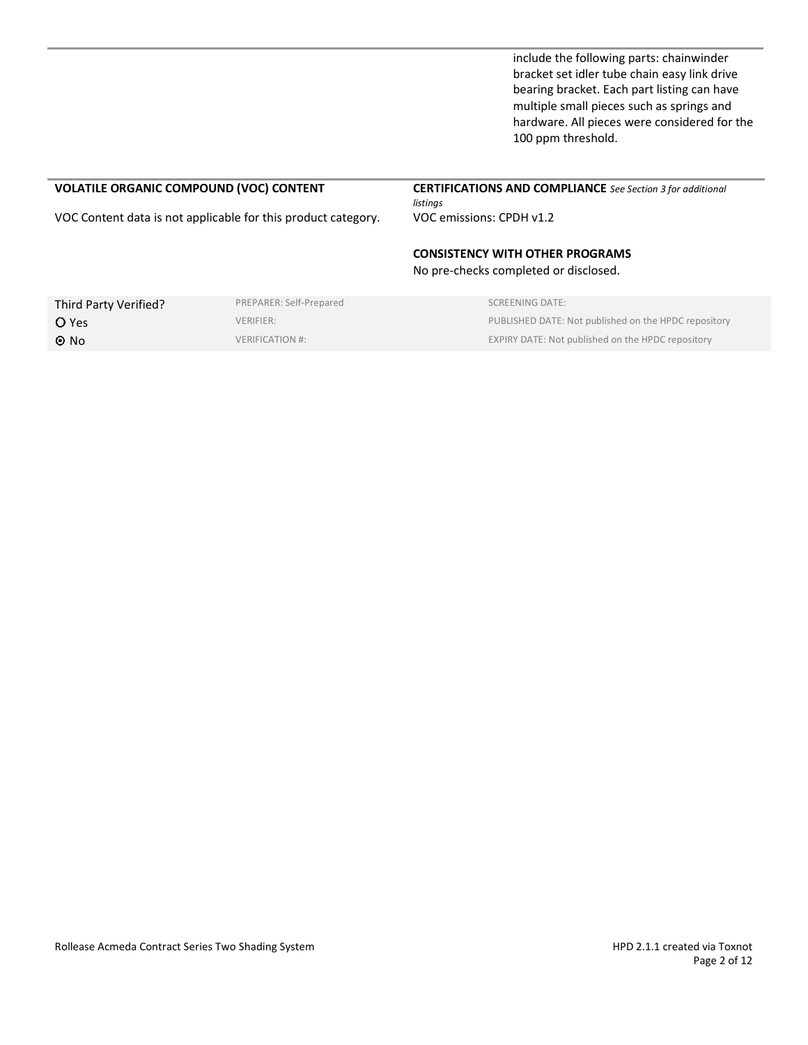include the following parts: chainwinder bracket set idler tube chain easy link drive bearing bracket. Each part listing can have multiple small pieces such as springs and hardware. All pieces were considered for the 100 ppm threshold.

# **VOLATILE ORGANIC COMPOUND (VOC) CONTENT CERTIFICATIONS AND COMPLIANCE** *See Section 3 for additional listings* VOC Content data is not applicable for this product category. VOC emissions: CPDH v1.2 **CONSISTENCY WITH OTHER PROGRAMS** No pre-checks completed or disclosed. Third Party Verified? PREPARER: Self-Prepared SCREENING DATE: **O Yes PUBLISHED DATE: Not published on the HPDC repository PUBLISHED DATE: Not published on the HPDC repository** O No VERIFICATION #: VERIFICATION #: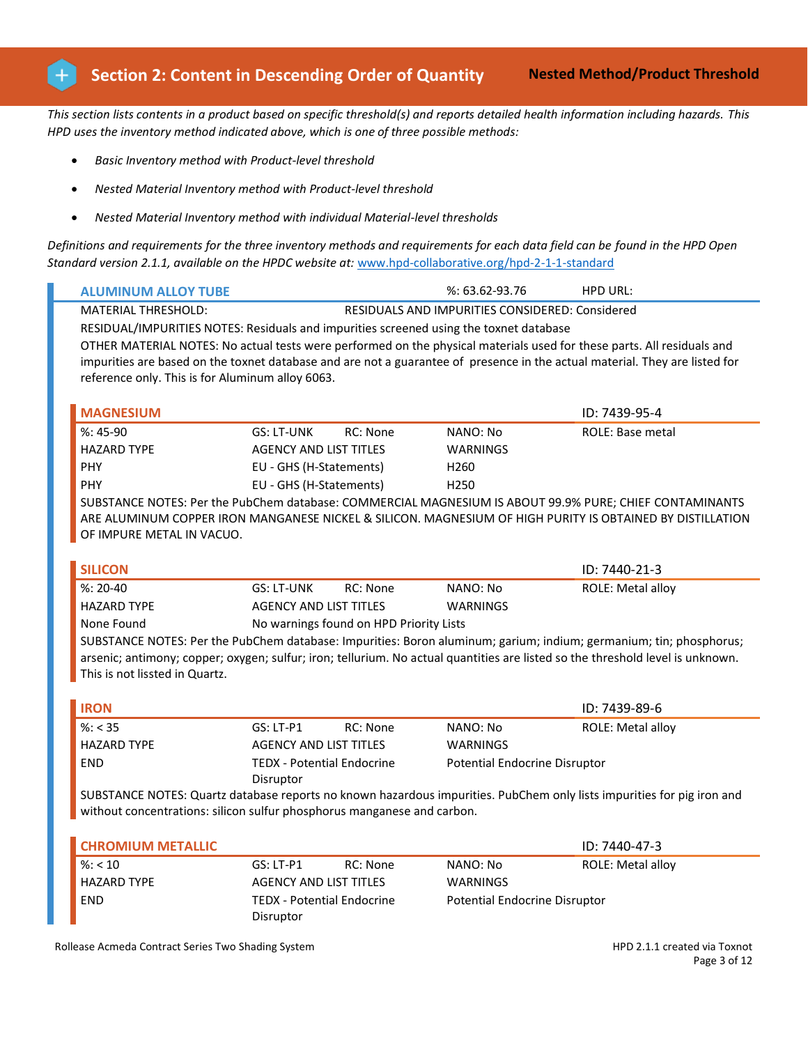*This section lists contents in a product based on specific threshold(s) and reports detailed health information including hazards. This HPD uses the inventory method indicated above, which is one of three possible methods:*

- *Basic Inventory method with Product-level threshold*
- *Nested Material Inventory method with Product-level threshold*
- *Nested Material Inventory method with individual Material-level thresholds*

*Definitions and requirements for the three inventory methods and requirements for each data field can be found in the HPD Open Standard version 2.1.1, available on the HPDC website at:* [www.hpd-collaborative.org/hpd-2-1-1-standard](https://www.hpd-collaborative.org/hpd-2-1-standard)

| <b>ALUMINUM ALLOY TUBE</b>                                                             |                               | $%3.62-93.76$                                   | <b>HPD URL:</b>                                                                                                             |  |  |  |  |  |
|----------------------------------------------------------------------------------------|-------------------------------|-------------------------------------------------|-----------------------------------------------------------------------------------------------------------------------------|--|--|--|--|--|
| <b>MATERIAL THRESHOLD:</b>                                                             |                               | RESIDUALS AND IMPURITIES CONSIDERED: Considered |                                                                                                                             |  |  |  |  |  |
| RESIDUAL/IMPURITIES NOTES: Residuals and impurities screened using the toxnet database |                               |                                                 |                                                                                                                             |  |  |  |  |  |
|                                                                                        |                               |                                                 | OTHER MATERIAL NOTES: No actual tests were performed on the physical materials used for these parts. All residuals and      |  |  |  |  |  |
|                                                                                        |                               |                                                 | impurities are based on the toxnet database and are not a guarantee of presence in the actual material. They are listed for |  |  |  |  |  |
| reference only. This is for Aluminum alloy 6063.                                       |                               |                                                 |                                                                                                                             |  |  |  |  |  |
|                                                                                        |                               |                                                 |                                                                                                                             |  |  |  |  |  |
| <b>MAGNESIUM</b>                                                                       |                               |                                                 | ID: 7439-95-4                                                                                                               |  |  |  |  |  |
| $%:45-90$                                                                              | GS: LT-UNK                    | RC: None<br>NANO: No                            | ROLE: Base metal                                                                                                            |  |  |  |  |  |
| <b>HAZARD TYPE</b>                                                                     | <b>AGENCY AND LIST TITLES</b> | <b>WARNINGS</b>                                 |                                                                                                                             |  |  |  |  |  |
| <b>PHY</b>                                                                             |                               |                                                 |                                                                                                                             |  |  |  |  |  |
|                                                                                        | EU - GHS (H-Statements)       | H <sub>260</sub>                                |                                                                                                                             |  |  |  |  |  |

SUBSTANCE NOTES: Per the PubChem database: COMMERCIAL MAGNESIUM IS ABOUT 99.9% PURE; CHIEF CONTAMINANTS ARE ALUMINUM COPPER IRON MANGANESE NICKEL & SILICON. MAGNESIUM OF HIGH PURITY IS OBTAINED BY DISTILLATION OF IMPURE METAL IN VACUO.

| <b>SILICON</b>                                                                                                                 |                               |                                         |                 | $ID: 7440-21-3$          |
|--------------------------------------------------------------------------------------------------------------------------------|-------------------------------|-----------------------------------------|-----------------|--------------------------|
| $%: 20-40$                                                                                                                     | GS: LT-UNK                    | RC: None                                | NANO: No        | <b>ROLE: Metal alloy</b> |
| <b>HAZARD TYPE</b>                                                                                                             | <b>AGENCY AND LIST TITLES</b> |                                         | <b>WARNINGS</b> |                          |
| None Found                                                                                                                     |                               | No warnings found on HPD Priority Lists |                 |                          |
| SUBSTANCE NOTES: Per the PubChem database: Impurities: Boron aluminum; garium; indium; germanium; tin; phosphorus;             |                               |                                         |                 |                          |
| arsenic; antimony; copper; oxygen; sulfur; iron; tellurium. No actual quantities are listed so the threshold level is unknown. |                               |                                         |                 |                          |

This is not lissted in Quartz.

| <b>IRON</b>        |                                         |          |                               | ID: 7439-89-6     |
|--------------------|-----------------------------------------|----------|-------------------------------|-------------------|
| $\%$ : < 35        | $GS:LT-P1$                              | RC: None | NANO: No                      | ROLE: Metal alloy |
| <b>HAZARD TYPE</b> | AGENCY AND LIST TITLES                  |          | WARNINGS                      |                   |
| <b>END</b>         | TEDX - Potential Endocrine<br>Disruptor |          | Potential Endocrine Disruptor |                   |

SUBSTANCE NOTES: Quartz database reports no known hazardous impurities. PubChem only lists impurities for pig iron and without concentrations: silicon sulfur phosphorus manganese and carbon.

| <b>CHROMIUM METALLIC</b> |                            |          |                               | ID: 7440-47-3     |
|--------------------------|----------------------------|----------|-------------------------------|-------------------|
| $\frac{9}{6}$ : < 10     | $GS:LT-P1$                 | RC: None | NANO: No                      | ROLE: Metal alloy |
| <b>HAZARD TYPE</b>       | AGENCY AND LIST TITLES     |          | WARNINGS                      |                   |
| <b>END</b>               | TEDX - Potential Endocrine |          | Potential Endocrine Disruptor |                   |
|                          | Disruptor                  |          |                               |                   |

Rollease Acmeda Contract Series Two Shading System **HPD 2.1.1 created via Toxnot** HPD 2.1.1 created via Toxnot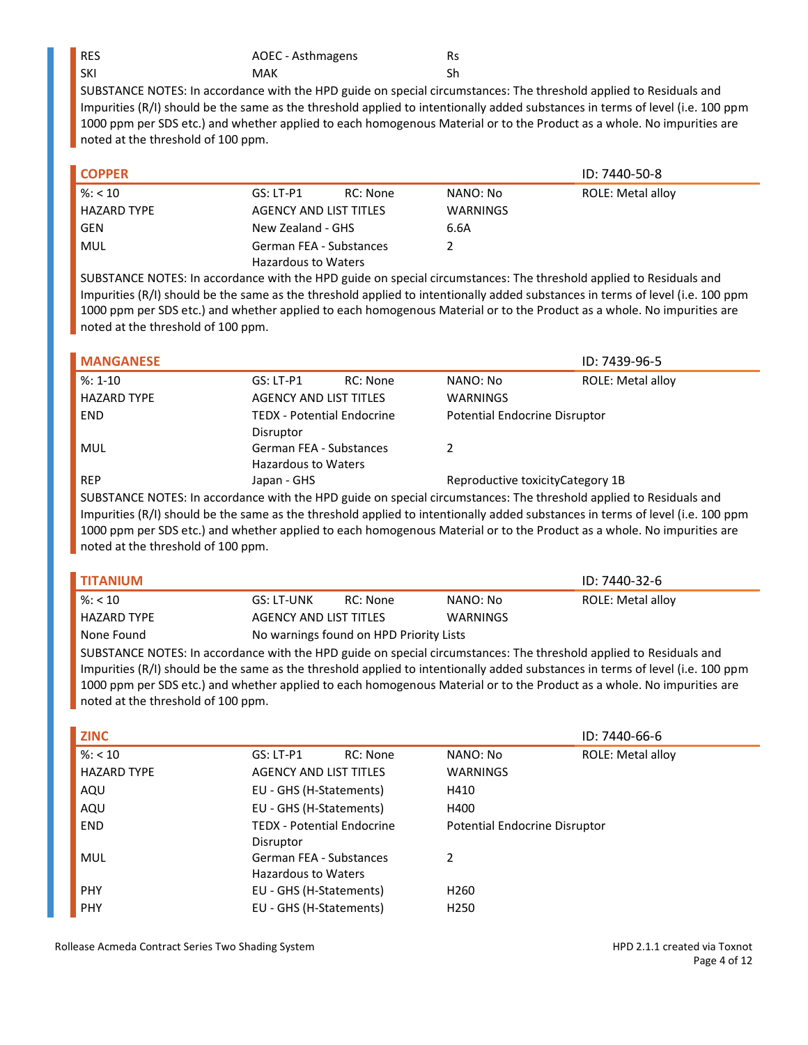| <b>RES</b> | AOEC - Asthmagens | Rs |
|------------|-------------------|----|
| l SKI      | MAK               |    |

| <b>COPPER</b> |                            |          |                 | ID: 7440-50-8     |
|---------------|----------------------------|----------|-----------------|-------------------|
| % < 10        | GS: LT-P1                  | RC: None | NANO: No        | ROLE: Metal alloy |
| HAZARD TYPE   | AGENCY AND LIST TITLES     |          | <b>WARNINGS</b> |                   |
| GEN           | New Zealand - GHS          |          | 6.6A            |                   |
| MUL           | German FEA - Substances    |          |                 |                   |
|               | <b>Hazardous to Waters</b> |          |                 |                   |

SUBSTANCE NOTES: In accordance with the HPD guide on special circumstances: The threshold applied to Residuals and Impurities (R/I) should be the same as the threshold applied to intentionally added substances in terms of level (i.e. 100 ppm 1000 ppm per SDS etc.) and whether applied to each homogenous Material or to the Product as a whole. No impurities are noted at the threshold of 100 ppm.

|              |          |                                                                                                                      | ID: 7439-96-5            |
|--------------|----------|----------------------------------------------------------------------------------------------------------------------|--------------------------|
| $GS: LT- P1$ | RC: None | NANO: No                                                                                                             | <b>ROLE: Metal alloy</b> |
|              |          | <b>WARNINGS</b>                                                                                                      |                          |
|              |          | Potential Endocrine Disruptor                                                                                        |                          |
| Disruptor    |          |                                                                                                                      |                          |
|              |          |                                                                                                                      |                          |
|              |          |                                                                                                                      |                          |
| Japan - GHS  |          | Reproductive toxicity Category 1B                                                                                    |                          |
|              |          | <b>AGENCY AND LIST TITLES</b><br><b>TEDX - Potential Endocrine</b><br>German FEA - Substances<br>Hazardous to Waters |                          |

SUBSTANCE NOTES: In accordance with the HPD guide on special circumstances: The threshold applied to Residuals and Impurities (R/I) should be the same as the threshold applied to intentionally added substances in terms of level (i.e. 100 ppm 1000 ppm per SDS etc.) and whether applied to each homogenous Material or to the Product as a whole. No impurities are noted at the threshold of 100 ppm.

| I TITANIUM         |                                         |          |          | ID: 7440-32-6     |
|--------------------|-----------------------------------------|----------|----------|-------------------|
| $\frac{8}{5}$ < 10 | GS: LT-UNK                              | RC: None | NANO: No | ROLE: Metal alloy |
| <b>HAZARD TYPE</b> | AGENCY AND LIST TITLES                  |          | WARNINGS |                   |
| None Found         | No warnings found on HPD Priority Lists |          |          |                   |

SUBSTANCE NOTES: In accordance with the HPD guide on special circumstances: The threshold applied to Residuals and Impurities (R/I) should be the same as the threshold applied to intentionally added substances in terms of level (i.e. 100 ppm 1000 ppm per SDS etc.) and whether applied to each homogenous Material or to the Product as a whole. No impurities are noted at the threshold of 100 ppm.

| <b>ZINC</b>        |                                   |                 |                               | ID: 7440-66-6            |
|--------------------|-----------------------------------|-----------------|-------------------------------|--------------------------|
| $\%$ : < 10        | $GS: LT-P1$                       | <b>RC: None</b> | NANO: No                      | <b>ROLE: Metal alloy</b> |
| <b>HAZARD TYPE</b> | <b>AGENCY AND LIST TITLES</b>     |                 | <b>WARNINGS</b>               |                          |
| AQU                | EU - GHS (H-Statements)           |                 | H410                          |                          |
| AQU                | EU - GHS (H-Statements)           |                 | H400                          |                          |
| <b>END</b>         | <b>TEDX - Potential Endocrine</b> |                 | Potential Endocrine Disruptor |                          |
|                    | Disruptor                         |                 |                               |                          |
| MUL                | German FEA - Substances           |                 | 2                             |                          |
|                    | <b>Hazardous to Waters</b>        |                 |                               |                          |
| <b>PHY</b>         | EU - GHS (H-Statements)           |                 | H <sub>260</sub>              |                          |
| <b>PHY</b>         | EU - GHS (H-Statements)           |                 | H <sub>250</sub>              |                          |

Rollease Acmeda Contract Series Two Shading System **HPD 2.1.1 created via Toxnot** HPD 2.1.1 created via Toxnot

Page 4 of 12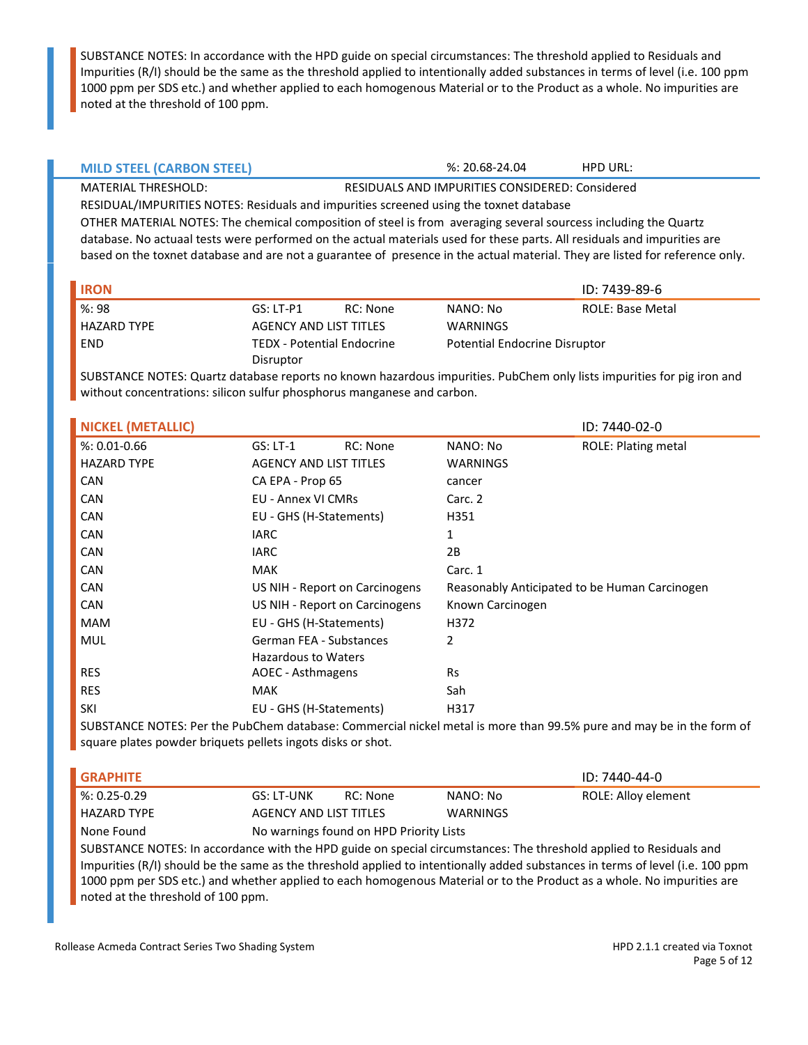|  | <b>MILD STEEL (CARBON STEEL)</b> |
|--|----------------------------------|
|--|----------------------------------|

%: 20.68-24.04 **HPD URL:** 

MATERIAL THRESHOLD: RESIDUALS AND IMPURITIES CONSIDERED: Considered RESIDUAL/IMPURITIES NOTES: Residuals and impurities screened using the toxnet database OTHER MATERIAL NOTES: The chemical composition of steel is from averaging several sourcess including the Quartz database. No actuaal tests were performed on the actual materials used for these parts. All residuals and impurities are based on the toxnet database and are not a guarantee of presence in the actual material. They are listed for reference only.

| l IRON      |                        |                            |          | ID: 7439-89-6                        |
|-------------|------------------------|----------------------------|----------|--------------------------------------|
| %: 98       | $GS: LT- P1$           | RC: None                   | NANO: No | ROLE: Base Metal                     |
| HAZARD TYPE | AGENCY AND LIST TITLES |                            | WARNINGS |                                      |
| <b>END</b>  |                        | TEDX - Potential Endocrine |          | <b>Potential Endocrine Disruptor</b> |
|             | Disruptor              |                            |          |                                      |

SUBSTANCE NOTES: Quartz database reports no known hazardous impurities. PubChem only lists impurities for pig iron and without concentrations: silicon sulfur phosphorus manganese and carbon.

| <b>NICKEL (METALLIC)</b> |                                |                 |                  | ID: 7440-02-0                                                                                                          |
|--------------------------|--------------------------------|-----------------|------------------|------------------------------------------------------------------------------------------------------------------------|
| $%: 0.01 - 0.66$         | $GS: LT-1$                     | <b>RC: None</b> | NANO: No         | <b>ROLE: Plating metal</b>                                                                                             |
| <b>HAZARD TYPE</b>       | <b>AGENCY AND LIST TITLES</b>  |                 | <b>WARNINGS</b>  |                                                                                                                        |
| <b>CAN</b>               | CA EPA - Prop 65               |                 | cancer           |                                                                                                                        |
| CAN                      | <b>EU - Annex VI CMRs</b>      |                 | Carc. 2          |                                                                                                                        |
| CAN                      | EU - GHS (H-Statements)        |                 | H351             |                                                                                                                        |
| <b>CAN</b>               | <b>IARC</b>                    |                 |                  |                                                                                                                        |
| <b>CAN</b>               | <b>IARC</b>                    |                 | 2B               |                                                                                                                        |
| <b>CAN</b>               | <b>MAK</b>                     |                 | Carc. 1          |                                                                                                                        |
| <b>CAN</b>               | US NIH - Report on Carcinogens |                 |                  | Reasonably Anticipated to be Human Carcinogen                                                                          |
| <b>CAN</b>               | US NIH - Report on Carcinogens |                 | Known Carcinogen |                                                                                                                        |
| <b>MAM</b>               | EU - GHS (H-Statements)        |                 | H372             |                                                                                                                        |
| <b>MUL</b>               | German FEA - Substances        |                 | 2                |                                                                                                                        |
|                          | Hazardous to Waters            |                 |                  |                                                                                                                        |
| <b>RES</b>               | AOEC - Asthmagens              |                 | <b>Rs</b>        |                                                                                                                        |
| <b>RES</b>               | <b>MAK</b>                     |                 | Sah              |                                                                                                                        |
| SKI                      | EU - GHS (H-Statements)        |                 | H317             |                                                                                                                        |
|                          |                                |                 |                  | CUBCTANCE NOTEC, Baseled BulcOlean detailed of Canadian Martial and the Country OO EQUATION and accepted to the famour |

SUBSTANCE NOTES: Per the PubChem database: Commercial nickel metal is more than 99.5% pure and may be in the form of square plates powder briquets pellets ingots disks or shot.

| I GRAPHITE                                                                                                         |                        |                                         |          | ID: 7440-44-0       |
|--------------------------------------------------------------------------------------------------------------------|------------------------|-----------------------------------------|----------|---------------------|
| $%: 0.25 - 0.29$                                                                                                   | GS: LT-UNK             | RC: None                                | NANO: No | ROLE: Alloy element |
| <b>HAZARD TYPE</b>                                                                                                 | AGENCY AND LIST TITLES |                                         | WARNINGS |                     |
| None Found                                                                                                         |                        | No warnings found on HPD Priority Lists |          |                     |
| SUBSTANCE NOTES: In accordance with the HPD guide on special circumstances: The threshold applied to Residuals and |                        |                                         |          |                     |

Impurities (R/I) should be the same as the threshold applied to intentionally added substances in terms of level (i.e. 100 ppm 1000 ppm per SDS etc.) and whether applied to each homogenous Material or to the Product as a whole. No impurities are noted at the threshold of 100 ppm.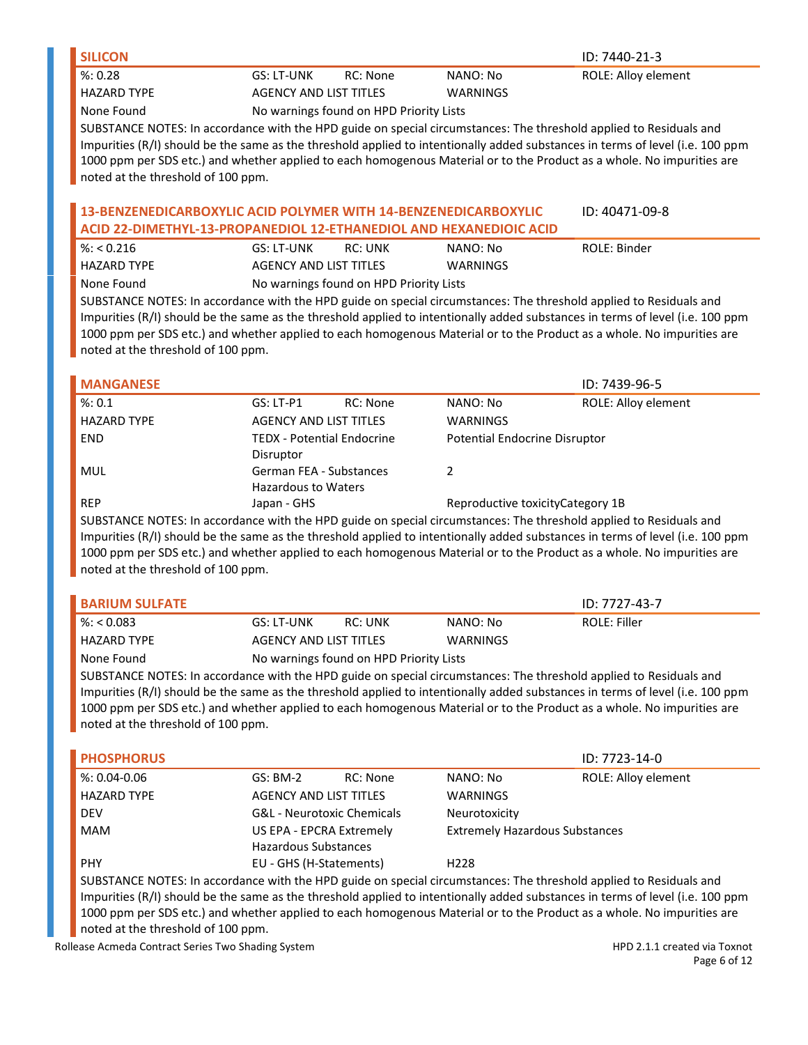| <b>SILICON</b>     |                                         |          | ID: 7440-21-3       |
|--------------------|-----------------------------------------|----------|---------------------|
| $\%$ : 0.28        | GS: LT-UNK<br>RC: None                  | NANO: No | ROLE: Alloy element |
| <b>HAZARD TYPE</b> | AGENCY AND LIST TITLES                  | WARNINGS |                     |
| None Found         | No warnings found on HPD Priority Lists |          |                     |

#### **13-BENZENEDICARBOXYLIC ACID POLYMER WITH 14-BENZENEDICARBOXYLIC ACID 22-DIMETHYL-13-PROPANEDIOL 12-ETHANEDIOL AND HEXANEDIOIC ACID** ID: 40471-09-8

| $\frac{8}{2}$ %: < 0.216 | GS: LT-UNK             | RC: UNK                                 | NANO: No | ROLE: Binder |
|--------------------------|------------------------|-----------------------------------------|----------|--------------|
| <b>HAZARD TYPE</b>       | AGENCY AND LIST TITLES |                                         | WARNINGS |              |
| None Found               |                        | No warnings found on HPD Priority Lists |          |              |

SUBSTANCE NOTES: In accordance with the HPD guide on special circumstances: The threshold applied to Residuals and Impurities (R/I) should be the same as the threshold applied to intentionally added substances in terms of level (i.e. 100 ppm 1000 ppm per SDS etc.) and whether applied to each homogenous Material or to the Product as a whole. No impurities are noted at the threshold of 100 ppm.

| <b>MANGANESE</b>   |                                   |          |                                      | ID: 7439-96-5       |
|--------------------|-----------------------------------|----------|--------------------------------------|---------------------|
| %: 0.1             | $GS: LT- P1$                      | RC: None | NANO: No                             | ROLE: Alloy element |
| <b>HAZARD TYPE</b> | <b>AGENCY AND LIST TITLES</b>     |          | <b>WARNINGS</b>                      |                     |
| END.               | <b>TEDX - Potential Endocrine</b> |          | <b>Potential Endocrine Disruptor</b> |                     |
|                    | Disruptor                         |          |                                      |                     |
| MUL                | German FEA - Substances           |          | Ͻ.                                   |                     |
|                    | <b>Hazardous to Waters</b>        |          |                                      |                     |
| <b>REP</b>         | Japan - GHS                       |          | Reproductive toxicity Category 1B    |                     |

SUBSTANCE NOTES: In accordance with the HPD guide on special circumstances: The threshold applied to Residuals and Impurities (R/I) should be the same as the threshold applied to intentionally added substances in terms of level (i.e. 100 ppm 1000 ppm per SDS etc.) and whether applied to each homogenous Material or to the Product as a whole. No impurities are noted at the threshold of 100 ppm.

| I BARIUM SULFATE                                                                                                          |                        |                                         |          | ID: 7727-43-7 |
|---------------------------------------------------------------------------------------------------------------------------|------------------------|-----------------------------------------|----------|---------------|
| $\frac{1}{2}$ %: < 0.083                                                                                                  | GS: LT-UNK             | RC: UNK                                 | NANO: No | ROLE: Filler  |
| <b>HAZARD TYPE</b>                                                                                                        | AGENCY AND LIST TITLES |                                         | WARNINGS |               |
| None Found                                                                                                                |                        | No warnings found on HPD Priority Lists |          |               |
| <b>CURCTANCE MOTEC</b> , to accordance with the HBB with an accord discussion of the threshold control to Bactilizate and |                        |                                         |          |               |

SUBSTANCE NOTES: In accordance with the HPD guide on special circumstances: The threshold applied to Residuals and Impurities (R/I) should be the same as the threshold applied to intentionally added substances in terms of level (i.e. 100 ppm 1000 ppm per SDS etc.) and whether applied to each homogenous Material or to the Product as a whole. No impurities are noted at the threshold of 100 ppm.

| <b>PHOSPHORUS</b>  |                               |                                       |                                       | ID: 7723-14-0              |
|--------------------|-------------------------------|---------------------------------------|---------------------------------------|----------------------------|
| $%: 0.04 - 0.06$   | $GS: BM-2$                    | RC: None                              | NANO: No                              | <b>ROLE: Alloy element</b> |
| <b>HAZARD TYPE</b> | <b>AGENCY AND LIST TITLES</b> |                                       | <b>WARNINGS</b>                       |                            |
| <b>DEV</b>         |                               | <b>G&amp;L</b> - Neurotoxic Chemicals | Neurotoxicity                         |                            |
| <b>MAM</b>         | US EPA - EPCRA Extremely      |                                       | <b>Extremely Hazardous Substances</b> |                            |
|                    | <b>Hazardous Substances</b>   |                                       |                                       |                            |
| <b>PHY</b>         | EU - GHS (H-Statements)       |                                       | H <sub>228</sub>                      |                            |
|                    |                               |                                       |                                       |                            |

SUBSTANCE NOTES: In accordance with the HPD guide on special circumstances: The threshold applied to Residuals and Impurities (R/I) should be the same as the threshold applied to intentionally added substances in terms of level (i.e. 100 ppm 1000 ppm per SDS etc.) and whether applied to each homogenous Material or to the Product as a whole. No impurities are noted at the threshold of 100 ppm.

Rollease Acmeda Contract Series Two Shading System **HPD 2.1.1 created via Toxnot** HPD 2.1.1 created via Toxnot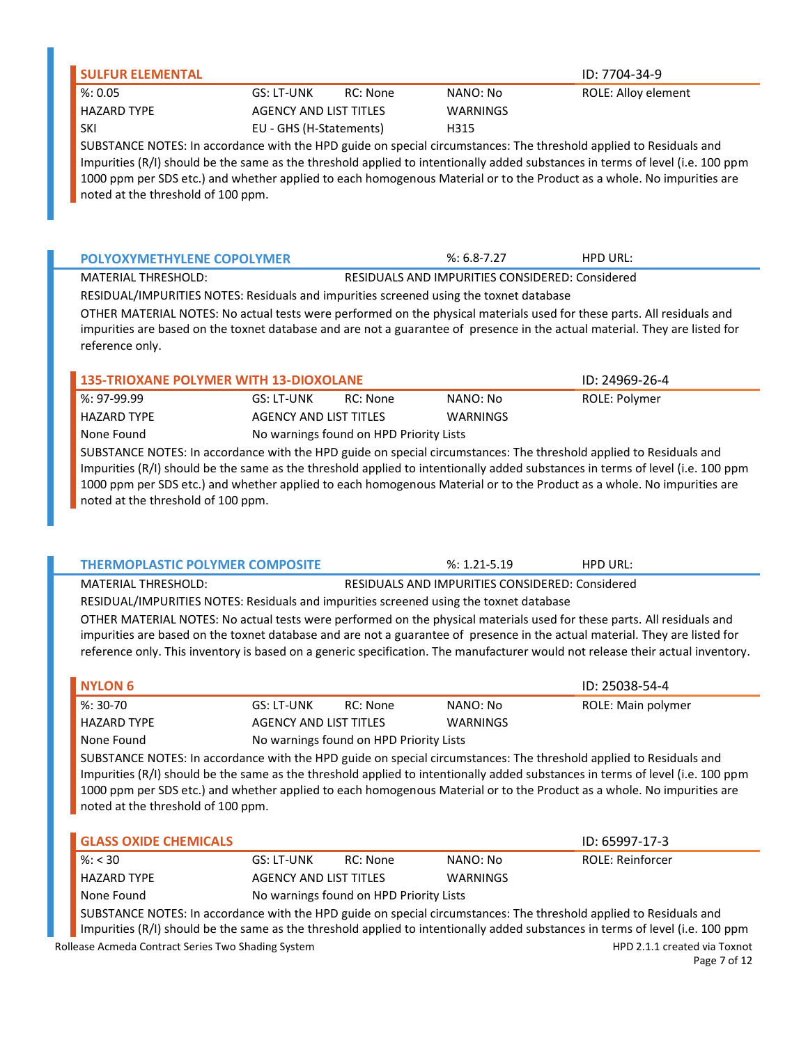| <b>SULFUR ELEMENTAL</b>                                                                |                               |          |                                                 | ID: 7704-34-9                                                                                                                                                                                                                                            |
|----------------------------------------------------------------------------------------|-------------------------------|----------|-------------------------------------------------|----------------------------------------------------------------------------------------------------------------------------------------------------------------------------------------------------------------------------------------------------------|
| %: 0.05                                                                                | GS: LT-UNK                    | RC: None | NANO: No                                        | ROLE: Alloy element                                                                                                                                                                                                                                      |
| <b>HAZARD TYPE</b>                                                                     | <b>AGENCY AND LIST TITLES</b> |          | <b>WARNINGS</b>                                 |                                                                                                                                                                                                                                                          |
| SKI                                                                                    | EU - GHS (H-Statements)       |          | H315                                            |                                                                                                                                                                                                                                                          |
| noted at the threshold of 100 ppm.                                                     |                               |          |                                                 | Impurities (R/I) should be the same as the threshold applied to intentionally added substances in terms of level (i.e. 100 ppm<br>1000 ppm per SDS etc.) and whether applied to each homogenous Material or to the Product as a whole. No impurities are |
| <b>POLYOXYMETHYLENE COPOLYMER</b>                                                      |                               |          | $%: 6.8 - 7.27$                                 | <b>HPD URL:</b>                                                                                                                                                                                                                                          |
| <b>MATERIAL THRESHOLD:</b>                                                             |                               |          | RESIDUALS AND IMPURITIES CONSIDERED: Considered |                                                                                                                                                                                                                                                          |
| RESIDUAL/IMPURITIES NOTES: Residuals and impurities screened using the toxnet database |                               |          |                                                 |                                                                                                                                                                                                                                                          |
|                                                                                        |                               |          |                                                 | OTHER MATERIAL NOTES: No actual tests were performed on the physical materials used for these parts. All residuals and                                                                                                                                   |
|                                                                                        |                               |          |                                                 | impurities are based on the toxnet database and are not a guarantee of presence in the actual material. They are listed for                                                                                                                              |

| 135-TRIOXANE POLYMER WITH 13-DIOXOLANE |                                         |          |          | ID: 24969-26-4                                                                                                                                                                                                                      |
|----------------------------------------|-----------------------------------------|----------|----------|-------------------------------------------------------------------------------------------------------------------------------------------------------------------------------------------------------------------------------------|
| $\blacksquare$ %: 97-99.99             | GS: LT-UNK                              | RC: None | NANO: No | ROLE: Polymer                                                                                                                                                                                                                       |
| HAZARD TYPE                            | AGENCY AND LIST TITLES                  |          | WARNINGS |                                                                                                                                                                                                                                     |
| None Found                             | No warnings found on HPD Priority Lists |          |          |                                                                                                                                                                                                                                     |
|                                        |                                         |          |          | <b>CURCE MOTEO IS A SECOND AT A SECOND ASSESSMENT OF A SECOND AND A SECOND ASSESSMENT OF A SECOND AND A SECOND ASSESSMENT OF A SECOND AND A SECOND ASSESSMENT OF A SECOND ASSESSMENT OF A SECOND ASSESSMENT OF A SECOND ASSESSM</b> |

reference only.

SUBSTANCE NOTES: In accordance with the HPD guide on special circumstances: The threshold applied to Residuals and Impurities (R/I) should be the same as the threshold applied to intentionally added substances in terms of level (i.e. 100 ppm 1000 ppm per SDS etc.) and whether applied to each homogenous Material or to the Product as a whole. No impurities are noted at the threshold of 100 ppm.

| <b>THERMOPLASTIC POLYMER COMPOSITE</b>                                                 |                               |                                         | $\%: 1.21 - 5.19$                               | HPD URL:                                                                                                                                                                                                                                                                                                                                                                                |  |
|----------------------------------------------------------------------------------------|-------------------------------|-----------------------------------------|-------------------------------------------------|-----------------------------------------------------------------------------------------------------------------------------------------------------------------------------------------------------------------------------------------------------------------------------------------------------------------------------------------------------------------------------------------|--|
| <b>MATERIAL THRESHOLD:</b>                                                             |                               |                                         | RESIDUALS AND IMPURITIES CONSIDERED: Considered |                                                                                                                                                                                                                                                                                                                                                                                         |  |
| RESIDUAL/IMPURITIES NOTES: Residuals and impurities screened using the toxnet database |                               |                                         |                                                 |                                                                                                                                                                                                                                                                                                                                                                                         |  |
|                                                                                        |                               |                                         |                                                 | OTHER MATERIAL NOTES: No actual tests were performed on the physical materials used for these parts. All residuals and<br>impurities are based on the toxnet database and are not a guarantee of presence in the actual material. They are listed for<br>reference only. This inventory is based on a generic specification. The manufacturer would not release their actual inventory. |  |
| NYLON <sub>6</sub>                                                                     |                               |                                         |                                                 | ID: 25038-54-4                                                                                                                                                                                                                                                                                                                                                                          |  |
|                                                                                        |                               |                                         |                                                 |                                                                                                                                                                                                                                                                                                                                                                                         |  |
| $%: 30-70$                                                                             | GS: LT-UNK                    | RC: None                                | NANO: No                                        | ROLE: Main polymer                                                                                                                                                                                                                                                                                                                                                                      |  |
| <b>HAZARD TYPE</b>                                                                     | <b>AGENCY AND LIST TITLES</b> |                                         | WARNINGS                                        |                                                                                                                                                                                                                                                                                                                                                                                         |  |
| None Found                                                                             |                               | No warnings found on HPD Priority Lists |                                                 |                                                                                                                                                                                                                                                                                                                                                                                         |  |

1000 ppm per SDS etc.) and whether applied to each homogenous Material or to the Product as a whole. No impurities are noted at the threshold of 100 ppm.

| <b>GLASS OXIDE CHEMICALS</b>                                                                                                  |                        |                                         |          | ID: 65997-17-3   |
|-------------------------------------------------------------------------------------------------------------------------------|------------------------|-----------------------------------------|----------|------------------|
| $\frac{9}{6}$ : < 30                                                                                                          | GS: LT-UNK             | RC: None                                | NANO: No | ROLE: Reinforcer |
| HAZARD TYPE                                                                                                                   | AGENCY AND LIST TITLES |                                         | WARNINGS |                  |
| None Found                                                                                                                    |                        | No warnings found on HPD Priority Lists |          |                  |
| CUBCTANCE NOTEC, he associated a control that UBB and also are adopted alternative and the thready also had the Basidnaha and |                        |                                         |          |                  |

Rollease Acmeda Contract Series Two Shading System **HPD 2.1.1 created via Toxnot** HPD 2.1.1 created via Toxnot SUBSTANCE NOTES: In accordance with the HPD guide on special circumstances: The threshold applied to Residuals and Impurities (R/I) should be the same as the threshold applied to intentionally added substances in terms of level (i.e. 100 ppm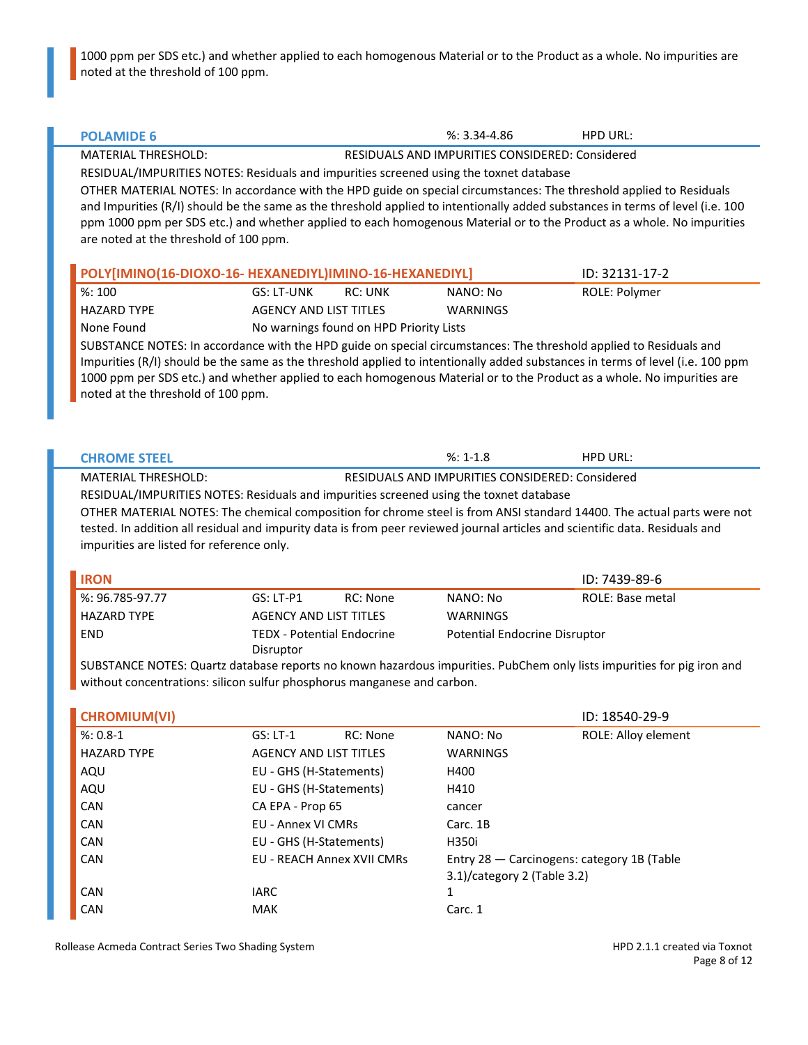1000 ppm per SDS etc.) and whether applied to each homogenous Material or to the Product as a whole. No impurities are noted at the threshold of 100 ppm.

| <b>POLAMIDE 6</b>                         |                                                                                                                                                                                                                                                                                                                                                                                 | $%: 3.34 - 4.86$                                       | <b>HPD URL:</b>                            |
|-------------------------------------------|---------------------------------------------------------------------------------------------------------------------------------------------------------------------------------------------------------------------------------------------------------------------------------------------------------------------------------------------------------------------------------|--------------------------------------------------------|--------------------------------------------|
| <b>MATERIAL THRESHOLD:</b>                |                                                                                                                                                                                                                                                                                                                                                                                 | RESIDUALS AND IMPURITIES CONSIDERED: Considered        |                                            |
|                                           | RESIDUAL/IMPURITIES NOTES: Residuals and impurities screened using the toxnet database                                                                                                                                                                                                                                                                                          |                                                        |                                            |
| are noted at the threshold of 100 ppm.    | OTHER MATERIAL NOTES: In accordance with the HPD guide on special circumstances: The threshold applied to Residuals<br>and Impurities (R/I) should be the same as the threshold applied to intentionally added substances in terms of level (i.e. 100<br>ppm 1000 ppm per SDS etc.) and whether applied to each homogenous Material or to the Product as a whole. No impurities |                                                        |                                            |
|                                           | POLY[IMINO(16-DIOXO-16- HEXANEDIYL)IMINO-16-HEXANEDIYL]                                                                                                                                                                                                                                                                                                                         |                                                        | ID: 32131-17-2                             |
| %:100                                     | GS: LT-UNK<br><b>RC: UNK</b>                                                                                                                                                                                                                                                                                                                                                    | NANO: No                                               | ROLE: Polymer                              |
| <b>HAZARD TYPE</b>                        | <b>AGENCY AND LIST TITLES</b>                                                                                                                                                                                                                                                                                                                                                   | <b>WARNINGS</b>                                        |                                            |
| None Found                                | No warnings found on HPD Priority Lists                                                                                                                                                                                                                                                                                                                                         |                                                        |                                            |
| noted at the threshold of 100 ppm.        | SUBSTANCE NOTES: In accordance with the HPD guide on special circumstances: The threshold applied to Residuals and<br>Impurities (R/I) should be the same as the threshold applied to intentionally added substances in terms of level (i.e. 100 ppm<br>1000 ppm per SDS etc.) and whether applied to each homogenous Material or to the Product as a whole. No impurities are  |                                                        |                                            |
|                                           |                                                                                                                                                                                                                                                                                                                                                                                 |                                                        |                                            |
| <b>CHROME STEEL</b>                       |                                                                                                                                                                                                                                                                                                                                                                                 | $%: 1-1.8$                                             | <b>HPD URL:</b>                            |
| <b>MATERIAL THRESHOLD:</b>                |                                                                                                                                                                                                                                                                                                                                                                                 | <b>RESIDUALS AND IMPURITIES CONSIDERED: Considered</b> |                                            |
|                                           | RESIDUAL/IMPURITIES NOTES: Residuals and impurities screened using the toxnet database                                                                                                                                                                                                                                                                                          |                                                        |                                            |
|                                           | OTHER MATERIAL NOTES: The chemical composition for chrome steel is from ANSI standard 14400. The actual parts were not                                                                                                                                                                                                                                                          |                                                        |                                            |
|                                           | tested. In addition all residual and impurity data is from peer reviewed journal articles and scientific data. Residuals and                                                                                                                                                                                                                                                    |                                                        |                                            |
| impurities are listed for reference only. |                                                                                                                                                                                                                                                                                                                                                                                 |                                                        |                                            |
| <b>IRON</b>                               |                                                                                                                                                                                                                                                                                                                                                                                 |                                                        | ID: 7439-89-6                              |
| %: 96.785-97.77                           | <b>GS: LT-P1</b><br>RC: None                                                                                                                                                                                                                                                                                                                                                    | NANO: No                                               | ROLE: Base metal                           |
| <b>HAZARD TYPE</b>                        | <b>AGENCY AND LIST TITLES</b>                                                                                                                                                                                                                                                                                                                                                   | <b>WARNINGS</b>                                        |                                            |
| <b>END</b>                                | <b>TEDX - Potential Endocrine</b>                                                                                                                                                                                                                                                                                                                                               | Potential Endocrine Disruptor                          |                                            |
|                                           | Disruptor                                                                                                                                                                                                                                                                                                                                                                       |                                                        |                                            |
|                                           | SUBSTANCE NOTES: Quartz database reports no known hazardous impurities. PubChem only lists impurities for pig iron and<br>without concentrations: silicon sulfur phosphorus manganese and carbon.                                                                                                                                                                               |                                                        |                                            |
|                                           |                                                                                                                                                                                                                                                                                                                                                                                 |                                                        |                                            |
| <b>CHROMIUM(VI)</b>                       |                                                                                                                                                                                                                                                                                                                                                                                 |                                                        | ID: 18540-29-9                             |
| $%: 0.8-1$                                | GS: LT-1<br>RC: None                                                                                                                                                                                                                                                                                                                                                            | NANO: No                                               | <b>ROLE: Alloy element</b>                 |
| <b>HAZARD TYPE</b>                        | <b>AGENCY AND LIST TITLES</b>                                                                                                                                                                                                                                                                                                                                                   | WARNINGS                                               |                                            |
| AQU                                       | EU - GHS (H-Statements)                                                                                                                                                                                                                                                                                                                                                         | H400                                                   |                                            |
| AQU                                       | EU - GHS (H-Statements)                                                                                                                                                                                                                                                                                                                                                         | H410                                                   |                                            |
| CAN                                       | CA EPA - Prop 65                                                                                                                                                                                                                                                                                                                                                                | cancer                                                 |                                            |
| CAN                                       | <b>EU - Annex VI CMRs</b>                                                                                                                                                                                                                                                                                                                                                       | Carc. 1B                                               |                                            |
| CAN                                       | EU - GHS (H-Statements)                                                                                                                                                                                                                                                                                                                                                         | H350i                                                  |                                            |
| CAN                                       | EU - REACH Annex XVII CMRs                                                                                                                                                                                                                                                                                                                                                      | 3.1)/category 2 (Table 3.2)                            | Entry 28 - Carcinogens: category 1B (Table |
| CAN                                       | <b>IARC</b>                                                                                                                                                                                                                                                                                                                                                                     | $\mathbf{1}$                                           |                                            |
| CAN                                       | MAK                                                                                                                                                                                                                                                                                                                                                                             | Carc. 1                                                |                                            |

Rollease Acmeda Contract Series Two Shading System **HPD 2.1.1** created via Toxnot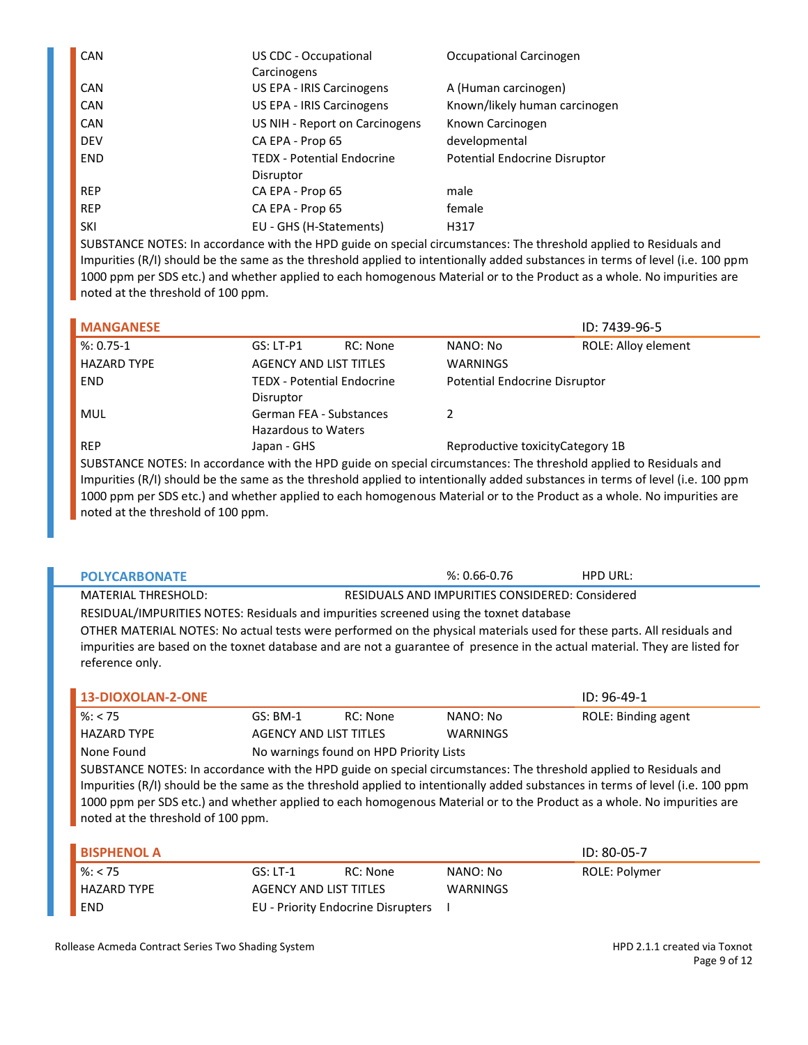| CAN        | US CDC - Occupational<br>Carcinogens           | Occupational Carcinogen       |
|------------|------------------------------------------------|-------------------------------|
| <b>CAN</b> | US EPA - IRIS Carcinogens                      | A (Human carcinogen)          |
| <b>CAN</b> | US EPA - IRIS Carcinogens                      | Known/likely human carcinogen |
| <b>CAN</b> | US NIH - Report on Carcinogens                 | Known Carcinogen              |
| <b>DEV</b> | CA EPA - Prop 65                               | developmental                 |
| <b>END</b> | <b>TEDX - Potential Endocrine</b><br>Disruptor | Potential Endocrine Disruptor |
| <b>REP</b> | CA EPA - Prop 65                               | male                          |
| <b>REP</b> | CA EPA - Prop 65                               | female                        |
| <b>SKI</b> | EU - GHS (H-Statements)                        | H317                          |

| <b>MANGANESE</b>                                                                                                   |                                                |          |                                   | ID: 7439-96-5                                                                                                                  |
|--------------------------------------------------------------------------------------------------------------------|------------------------------------------------|----------|-----------------------------------|--------------------------------------------------------------------------------------------------------------------------------|
| $%: 0.75-1$                                                                                                        | $GS: LT-P1$                                    | RC: None | NANO: No                          | ROLE: Alloy element                                                                                                            |
| <b>HAZARD TYPE</b>                                                                                                 | <b>AGENCY AND LIST TITLES</b>                  |          | <b>WARNINGS</b>                   |                                                                                                                                |
| END.                                                                                                               | <b>TEDX - Potential Endocrine</b><br>Disruptor |          | Potential Endocrine Disruptor     |                                                                                                                                |
| <b>MUL</b>                                                                                                         | German FEA - Substances<br>Hazardous to Waters |          | $\mathcal{P}$                     |                                                                                                                                |
| <b>REP</b>                                                                                                         | Japan - GHS                                    |          | Reproductive toxicity Category 1B |                                                                                                                                |
| SUBSTANCE NOTES: In accordance with the HPD guide on special circumstances: The threshold applied to Residuals and |                                                |          |                                   | Impurities (R/I) should be the same as the threshold applied to intentionally added substances in terms of level (i.e. 100 ppm |

Impurities (R/I) should be the same as the threshold applied to intentionally added substances in terms of level (i.e. 100 ppm 1000 ppm per SDS etc.) and whether applied to each homogenous Material or to the Product as a whole. No impurities are noted at the threshold of 100 ppm.

| <b>POLYCARBONATE</b>                                                                   |                                                                                                                        |                                                 | $%: 0.66 - 0.76$ | HPD URL:                                                                                                                    |  |  |
|----------------------------------------------------------------------------------------|------------------------------------------------------------------------------------------------------------------------|-------------------------------------------------|------------------|-----------------------------------------------------------------------------------------------------------------------------|--|--|
| <b>MATERIAL THRESHOLD:</b>                                                             |                                                                                                                        | RESIDUALS AND IMPURITIES CONSIDERED: Considered |                  |                                                                                                                             |  |  |
| RESIDUAL/IMPURITIES NOTES: Residuals and impurities screened using the toxnet database |                                                                                                                        |                                                 |                  |                                                                                                                             |  |  |
|                                                                                        | OTHER MATERIAL NOTES: No actual tests were performed on the physical materials used for these parts. All residuals and |                                                 |                  |                                                                                                                             |  |  |
| reference only.                                                                        |                                                                                                                        |                                                 |                  | impurities are based on the toxnet database and are not a guarantee of presence in the actual material. They are listed for |  |  |
| 13-DIOXOLAN-2-ONE                                                                      |                                                                                                                        |                                                 |                  | $ID: 96-49-1$                                                                                                               |  |  |
| $\frac{9}{6}$ : < 75                                                                   | $GS:$ BM-1                                                                                                             | RC: None                                        | NANO: No         | ROIF: Binding agent                                                                                                         |  |  |

| %: $< 75$                                                                                                                      | $GS: BM-1$                    | RC: None                                | NANO: No        | ROLE: Binding agent |
|--------------------------------------------------------------------------------------------------------------------------------|-------------------------------|-----------------------------------------|-----------------|---------------------|
| <b>HAZARD TYPE</b>                                                                                                             | <b>AGENCY AND LIST TITLES</b> |                                         | <b>WARNINGS</b> |                     |
| None Found                                                                                                                     |                               | No warnings found on HPD Priority Lists |                 |                     |
| SUBSTANCE NOTES: In accordance with the HPD guide on special circumstances: The threshold applied to Residuals and             |                               |                                         |                 |                     |
| Impurities (R/I) should be the same as the threshold applied to intentionally added substances in terms of level (i.e. 100 ppm |                               |                                         |                 |                     |
| 1000 ppm per SDS etc.) and whether applied to each homogenous Material or to the Product as a whole. No impurities are         |                               |                                         |                 |                     |
| noted at the threshold of 100 ppm.                                                                                             |                               |                                         |                 |                     |

| <b>BISPHENOL A</b>    |                        |                                    |          | $ID: 80-05-7$ |
|-----------------------|------------------------|------------------------------------|----------|---------------|
| $\frac{\ }{}$ %: < 75 | $GS: LT-1$             | RC: None                           | NANO: No | ROLE: Polymer |
| <b>HAZARD TYPE</b>    | AGENCY AND LIST TITLES |                                    | WARNINGS |               |
| END                   |                        | EU - Priority Endocrine Disrupters |          |               |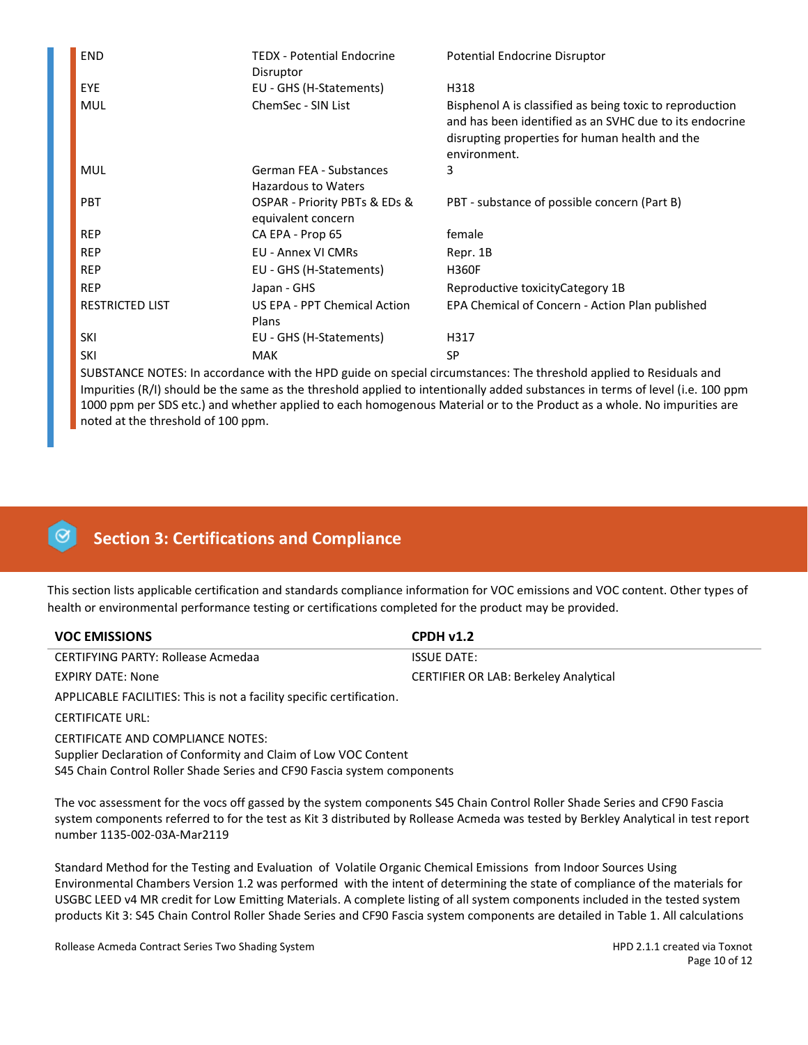| <b>END</b>             | TEDX - Potential Endocrine<br>Disruptor             | Potential Endocrine Disruptor                                                                                                                                                         |
|------------------------|-----------------------------------------------------|---------------------------------------------------------------------------------------------------------------------------------------------------------------------------------------|
| EYE                    | EU - GHS (H-Statements)                             | H318                                                                                                                                                                                  |
| <b>MUL</b>             | ChemSec - SIN List                                  | Bisphenol A is classified as being toxic to reproduction<br>and has been identified as an SVHC due to its endocrine<br>disrupting properties for human health and the<br>environment. |
| <b>MUL</b>             | German FEA - Substances<br>Hazardous to Waters      | 3                                                                                                                                                                                     |
| <b>PBT</b>             | OSPAR - Priority PBTs & EDs &<br>equivalent concern | PBT - substance of possible concern (Part B)                                                                                                                                          |
| <b>REP</b>             | CA EPA - Prop 65                                    | female                                                                                                                                                                                |
| <b>REP</b>             | <b>EU - Annex VI CMRs</b>                           | Repr. 1B                                                                                                                                                                              |
| <b>REP</b>             | EU - GHS (H-Statements)                             | <b>H360F</b>                                                                                                                                                                          |
| <b>REP</b>             | Japan - GHS                                         | Reproductive toxicity Category 1B                                                                                                                                                     |
| <b>RESTRICTED LIST</b> | US EPA - PPT Chemical Action<br>Plans               | EPA Chemical of Concern - Action Plan published                                                                                                                                       |
| SKI                    | EU - GHS (H-Statements)                             | H317                                                                                                                                                                                  |
| SKI                    | <b>MAK</b>                                          | <b>SP</b>                                                                                                                                                                             |

# **Section 3: Certifications and Compliance**

This section lists applicable certification and standards compliance information for VOC emissions and VOC content. Other types of health or environmental performance testing or certifications completed for the product may be provided.

| <b>VOC EMISSIONS</b>               | CPDHv1.2                                     |
|------------------------------------|----------------------------------------------|
| CERTIFYING PARTY: Rollease Acmedaa | <b>ISSUE DATE:</b>                           |
| EXPIRY DATE: None                  | <b>CERTIFIER OR LAB: Berkeley Analytical</b> |

APPLICABLE FACILITIES: This is not a facility specific certification.

CERTIFICATE URL:

CERTIFICATE AND COMPLIANCE NOTES: Supplier Declaration of Conformity and Claim of Low VOC Content S45 Chain Control Roller Shade Series and CF90 Fascia system components

The voc assessment for the vocs off gassed by the system components S45 Chain Control Roller Shade Series and CF90 Fascia system components referred to for the test as Kit 3 distributed by Rollease Acmeda was tested by Berkley Analytical in test report number 1135-002-03A-Mar2119

Standard Method for the Testing and Evaluation of Volatile Organic Chemical Emissions from Indoor Sources Using Environmental Chambers Version 1.2 was performed with the intent of determining the state of compliance of the materials for USGBC LEED v4 MR credit for Low Emitting Materials. A complete listing of all system components included in the tested system products Kit 3: S45 Chain Control Roller Shade Series and CF90 Fascia system components are detailed in Table 1. All calculations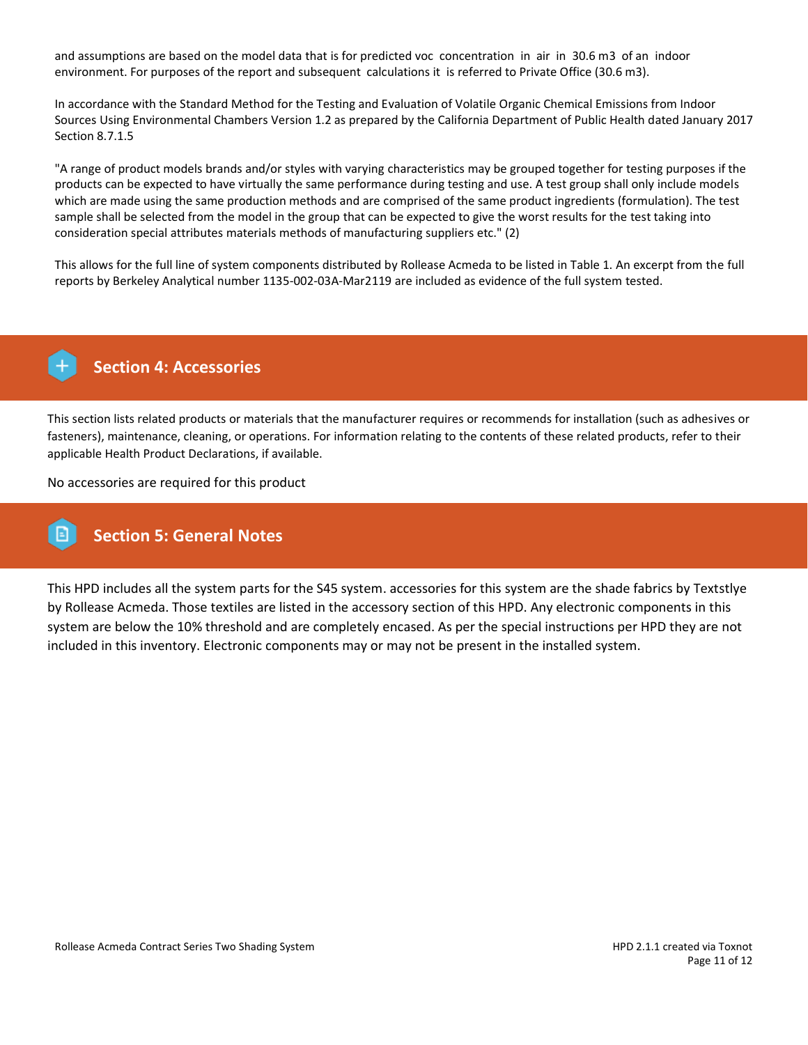and assumptions are based on the model data that is for predicted voc concentration in air in 30.6 m3 of an indoor environment. For purposes of the report and subsequent calculations it is referred to Private Office (30.6 m3).

In accordance with the Standard Method for the Testing and Evaluation of Volatile Organic Chemical Emissions from Indoor Sources Using Environmental Chambers Version 1.2 as prepared by the California Department of Public Health dated January 2017 Section 8.7.1.5

"A range of product models brands and/or styles with varying characteristics may be grouped together for testing purposes if the products can be expected to have virtually the same performance during testing and use. A test group shall only include models which are made using the same production methods and are comprised of the same product ingredients (formulation). The test sample shall be selected from the model in the group that can be expected to give the worst results for the test taking into consideration special attributes materials methods of manufacturing suppliers etc." (2)

This allows for the full line of system components distributed by Rollease Acmeda to be listed in Table 1. An excerpt from the full reports by Berkeley Analytical number 1135-002-03A-Mar2119 are included as evidence of the full system tested.



# **Section 4: Accessories**

This section lists related products or materials that the manufacturer requires or recommends for installation (such as adhesives or fasteners), maintenance, cleaning, or operations. For information relating to the contents of these related products, refer to their applicable Health Product Declarations, if available.

No accessories are required for this product

# **Section 5: General Notes**

This HPD includes all the system parts for the S45 system. accessories for this system are the shade fabrics by Textstlye by Rollease Acmeda. Those textiles are listed in the accessory section of this HPD. Any electronic components in this system are below the 10% threshold and are completely encased. As per the special instructions per HPD they are not included in this inventory. Electronic components may or may not be present in the installed system.